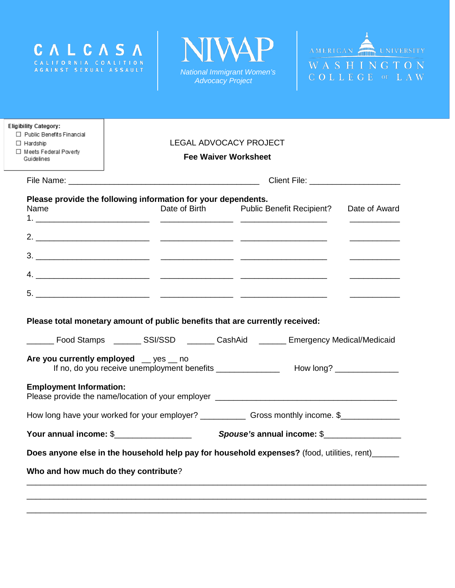





| $\Box$ Public Benefits Financial<br>$\Box$ Hardship           | <b>LEGAL ADVOCACY PROJECT</b> |                             |                                                                                            |  |  |  |
|---------------------------------------------------------------|-------------------------------|-----------------------------|--------------------------------------------------------------------------------------------|--|--|--|
| □ Meets Federal Poverty<br>Guidelines                         |                               | <b>Fee Waiver Worksheet</b> |                                                                                            |  |  |  |
|                                                               |                               |                             |                                                                                            |  |  |  |
| Please provide the following information for your dependents. |                               |                             |                                                                                            |  |  |  |
| Name                                                          |                               |                             | Date of Birth Public Benefit Recipient? Date of Award                                      |  |  |  |
|                                                               |                               |                             |                                                                                            |  |  |  |
|                                                               |                               |                             |                                                                                            |  |  |  |
|                                                               |                               |                             |                                                                                            |  |  |  |
|                                                               |                               |                             |                                                                                            |  |  |  |
|                                                               |                               |                             | Please total monetary amount of public benefits that are currently received:               |  |  |  |
| Are you currently employed __ yes __ no                       |                               |                             | Food Stamps ________ SSI/SSD _______ CashAid _______ Emergency Medical/Medicaid            |  |  |  |
| <b>Employment Information:</b>                                |                               |                             |                                                                                            |  |  |  |
| Your annual income: \$____________________                    |                               |                             | Spouse's annual income: \$                                                                 |  |  |  |
|                                                               |                               |                             | Does anyone else in the household help pay for household expenses? (food, utilities, rent) |  |  |  |
| Who and how much do they contribute?                          |                               |                             |                                                                                            |  |  |  |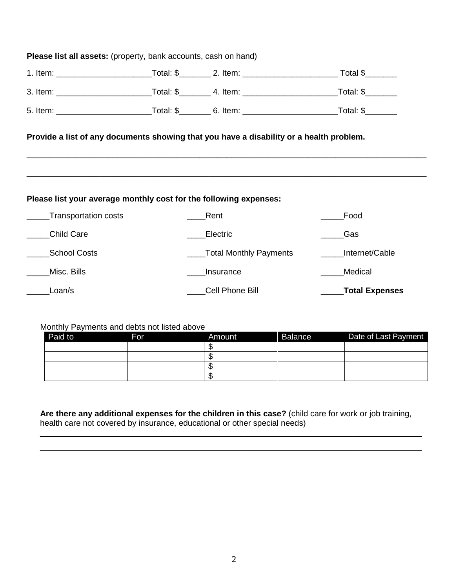| <b>Please list all assets:</b> (property, bank accounts, cash on hand)                                                                                       |  |                        |                     |  |  |  |  |
|--------------------------------------------------------------------------------------------------------------------------------------------------------------|--|------------------------|---------------------|--|--|--|--|
|                                                                                                                                                              |  |                        |                     |  |  |  |  |
|                                                                                                                                                              |  |                        |                     |  |  |  |  |
|                                                                                                                                                              |  |                        |                     |  |  |  |  |
| Provide a list of any documents showing that you have a disability or a health problem.<br>Please list your average monthly cost for the following expenses: |  |                        |                     |  |  |  |  |
| Transportation costs                                                                                                                                         |  | _Rent                  | Food                |  |  |  |  |
| Child Care                                                                                                                                                   |  | Electric               | Gas                 |  |  |  |  |
| School Costs                                                                                                                                                 |  | Total Monthly Payments | Internet/Cable      |  |  |  |  |
| Misc. Bills                                                                                                                                                  |  | Insurance              | Medical             |  |  |  |  |
| Loan/s                                                                                                                                                       |  | Cell Phone Bill        | _____Total Expenses |  |  |  |  |

## Monthly Payments and debts not listed above

| Paid to | For | Amount | <b>Balance</b> | Date of Last Payment |
|---------|-----|--------|----------------|----------------------|
|         |     |        |                |                      |
|         |     |        |                |                      |
|         |     |        |                |                      |
|         |     |        |                |                      |

**Are there any additional expenses for the children in this case?** (child care for work or job training, health care not covered by insurance, educational or other special needs)

\_\_\_\_\_\_\_\_\_\_\_\_\_\_\_\_\_\_\_\_\_\_\_\_\_\_\_\_\_\_\_\_\_\_\_\_\_\_\_\_\_\_\_\_\_\_\_\_\_\_\_\_\_\_\_\_\_\_\_\_\_\_\_\_\_\_\_\_\_\_\_\_\_\_\_\_\_\_\_\_\_\_\_\_ \_\_\_\_\_\_\_\_\_\_\_\_\_\_\_\_\_\_\_\_\_\_\_\_\_\_\_\_\_\_\_\_\_\_\_\_\_\_\_\_\_\_\_\_\_\_\_\_\_\_\_\_\_\_\_\_\_\_\_\_\_\_\_\_\_\_\_\_\_\_\_\_\_\_\_\_\_\_\_\_\_\_\_\_